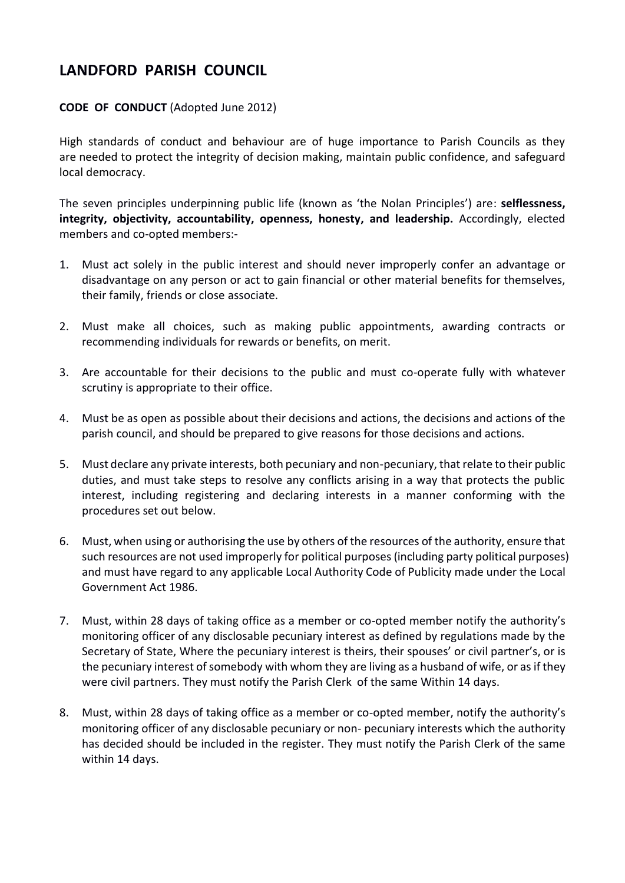## **LANDFORD PARISH COUNCIL**

## **CODE OF CONDUCT** (Adopted June 2012)

High standards of conduct and behaviour are of huge importance to Parish Councils as they are needed to protect the integrity of decision making, maintain public confidence, and safeguard local democracy.

The seven principles underpinning public life (known as 'the Nolan Principles') are: **selflessness, integrity, objectivity, accountability, openness, honesty, and leadership.** Accordingly, elected members and co-opted members:-

- 1. Must act solely in the public interest and should never improperly confer an advantage or disadvantage on any person or act to gain financial or other material benefits for themselves, their family, friends or close associate.
- 2. Must make all choices, such as making public appointments, awarding contracts or recommending individuals for rewards or benefits, on merit.
- 3. Are accountable for their decisions to the public and must co-operate fully with whatever scrutiny is appropriate to their office.
- 4. Must be as open as possible about their decisions and actions, the decisions and actions of the parish council, and should be prepared to give reasons for those decisions and actions.
- 5. Must declare any private interests, both pecuniary and non-pecuniary, that relate to their public duties, and must take steps to resolve any conflicts arising in a way that protects the public interest, including registering and declaring interests in a manner conforming with the procedures set out below.
- 6. Must, when using or authorising the use by others of the resources of the authority, ensure that such resources are not used improperly for political purposes (including party political purposes) and must have regard to any applicable Local Authority Code of Publicity made under the Local Government Act 1986.
- 7. Must, within 28 days of taking office as a member or co-opted member notify the authority's monitoring officer of any disclosable pecuniary interest as defined by regulations made by the Secretary of State, Where the pecuniary interest is theirs, their spouses' or civil partner's, or is the pecuniary interest of somebody with whom they are living as a husband of wife, or as if they were civil partners. They must notify the Parish Clerk of the same Within 14 days.
- 8. Must, within 28 days of taking office as a member or co-opted member, notify the authority's monitoring officer of any disclosable pecuniary or non- pecuniary interests which the authority has decided should be included in the register. They must notify the Parish Clerk of the same within 14 days.